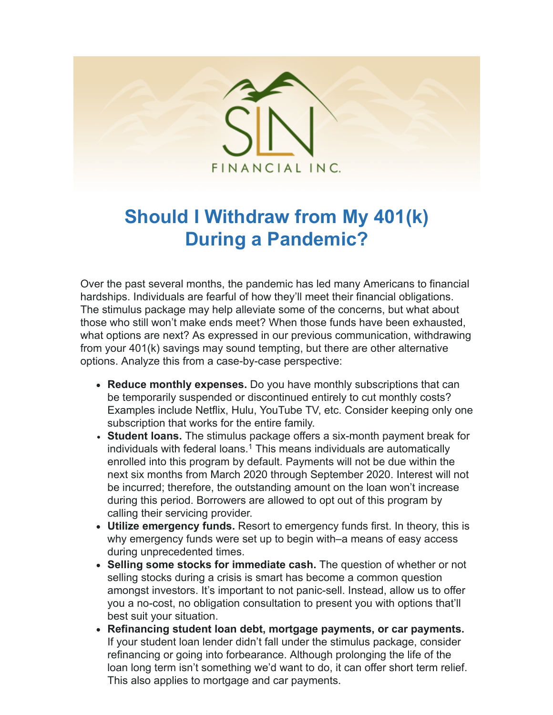

## **Should I Withdraw from My 401(k) During a Pandemic?**

Over the past several months, the pandemic has led many Americans to financial hardships. Individuals are fearful of how they'll meet their financial obligations. The stimulus package may help alleviate some of the concerns, but what about those who still won't make ends meet? When those funds have been exhausted, what options are next? As expressed in our previous communication, withdrawing from your 401(k) savings may sound tempting, but there are other alternative options. Analyze this from a case-by-case perspective:

- **Reduce monthly expenses.** Do you have monthly subscriptions that can be temporarily suspended or discontinued entirely to cut monthly costs? Examples include Netflix, Hulu, YouTube TV, etc. Consider keeping only one subscription that works for the entire family.
- **Student loans.** The stimulus package offers a six-month payment break for individuals with federal loans. $1$  This means individuals are automatically enrolled into this program by default. Payments will not be due within the next six months from March 2020 through September 2020. Interest will not be incurred; therefore, the outstanding amount on the loan won't increase during this period. Borrowers are allowed to opt out of this program by calling their servicing provider.
- **Utilize emergency funds.** Resort to emergency funds first. In theory, this is why emergency funds were set up to begin with–a means of easy access during unprecedented times.
- **Selling some stocks for immediate cash.** The question of whether or not selling stocks during a crisis is smart has become a common question amongst investors. It's important to not panic-sell. Instead, allow us to offer you a no-cost, no obligation consultation to present you with options that'll best suit your situation.
- **Refinancing student loan debt, mortgage payments, or car payments.** If your student loan lender didn't fall under the stimulus package, consider refinancing or going into forbearance. Although prolonging the life of the loan long term isn't something we'd want to do, it can offer short term relief. This also applies to mortgage and car payments.